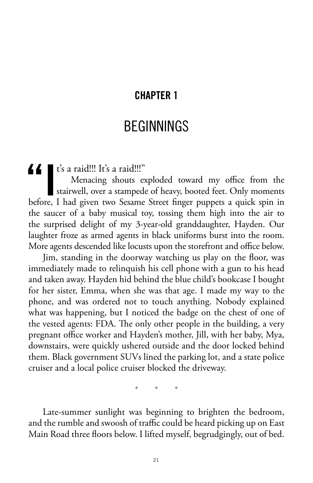## **CHAPTER 1**

## **BEGINNINGS**

**11** t's a raid!!! It's a raid!!!"<br>Menacing shouts exairwell, over a stamped Menacing shouts exploded toward my office from the stairwell, over a stampede of heavy, booted feet. Only moments before, I had given two Sesame Street finger puppets a quick spin in the saucer of a baby musical toy, tossing them high into the air to the surprised delight of my 3-year-old granddaughter, Hayden. Our laughter froze as armed agents in black uniforms burst into the room. More agents descended like locusts upon the storefront and office below.

Jim, standing in the doorway watching us play on the floor, was immediately made to relinquish his cell phone with a gun to his head and taken away. Hayden hid behind the blue child's bookcase I bought for her sister, Emma, when she was that age. I made my way to the phone, and was ordered not to touch anything. Nobody explained what was happening, but I noticed the badge on the chest of one of the vested agents: FDA. The only other people in the building, a very pregnant office worker and Hayden's mother, Jill, with her baby, Mya, downstairs, were quickly ushered outside and the door locked behind them. Black government SUVs lined the parking lot, and a state police cruiser and a local police cruiser blocked the driveway.

\* \* \*

Late-summer sunlight was beginning to brighten the bedroom, and the rumble and swoosh of traffic could be heard picking up on East Main Road three floors below. I lifted myself, begrudgingly, out of bed.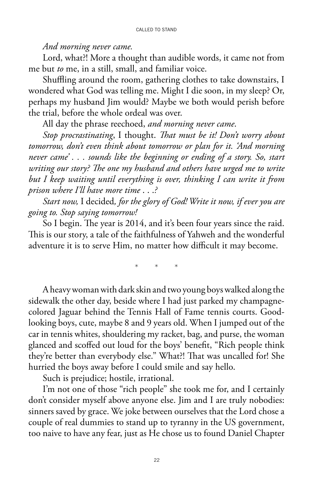#### CALLED TO STAND

### *And morning never came.*

Lord, what?! More a thought than audible words, it came not from me but *to* me, in a still, small, and familiar voice.

Shuffling around the room, gathering clothes to take downstairs, I wondered what God was telling me. Might I die soon, in my sleep? Or, perhaps my husband Jim would? Maybe we both would perish before the trial, before the whole ordeal was over.

All day the phrase reechoed, *and morning never came*.

*Stop procrastinating*, I thought. *That must be it! Don't worry about tomorrow, don't even think about tomorrow or plan for it. 'And morning never came' . . . sounds like the beginning or ending of a story. So, start writing our story? The one my husband and others have urged me to write but I keep waiting until everything is over, thinking I can write it from prison where I'll have more time* . . .*?*

*Start now,* I decided*, for the glory of God! Write it now, if ever you are going to. Stop saying tomorrow!*

So I begin. The year is 2014, and it's been four years since the raid. This is our story, a tale of the faithfulness of Yahweh and the wonderful adventure it is to serve Him, no matter how difficult it may become.

\* \* \*

A heavy woman with dark skin and two young boys walked along the sidewalk the other day, beside where I had just parked my champagnecolored Jaguar behind the Tennis Hall of Fame tennis courts. Goodlooking boys, cute, maybe 8 and 9 years old. When I jumped out of the car in tennis whites, shouldering my racket, bag, and purse, the woman glanced and scoffed out loud for the boys' benefit, "Rich people think they're better than everybody else." What?! That was uncalled for! She hurried the boys away before I could smile and say hello.

Such is prejudice; hostile, irrational.

I'm not one of those "rich people" she took me for, and I certainly don't consider myself above anyone else. Jim and I are truly nobodies: sinners saved by grace. We joke between ourselves that the Lord chose a couple of real dummies to stand up to tyranny in the US government, too naive to have any fear, just as He chose us to found Daniel Chapter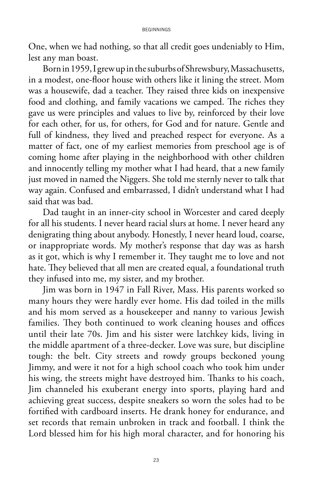One, when we had nothing, so that all credit goes undeniably to Him, lest any man boast.

Born in 1959, I grew up in the suburbs of Shrewsbury, Massachusetts, in a modest, one-floor house with others like it lining the street. Mom was a housewife, dad a teacher. They raised three kids on inexpensive food and clothing, and family vacations we camped. The riches they gave us were principles and values to live by, reinforced by their love for each other, for us, for others, for God and for nature. Gentle and full of kindness, they lived and preached respect for everyone. As a matter of fact, one of my earliest memories from preschool age is of coming home after playing in the neighborhood with other children and innocently telling my mother what I had heard, that a new family just moved in named the Niggers. She told me sternly never to talk that way again. Confused and embarrassed, I didn't understand what I had said that was bad.

Dad taught in an inner-city school in Worcester and cared deeply for all his students. I never heard racial slurs at home. I never heard any denigrating thing about anybody. Honestly, I never heard loud, coarse, or inappropriate words. My mother's response that day was as harsh as it got, which is why I remember it. They taught me to love and not hate. They believed that all men are created equal, a foundational truth they infused into me, my sister, and my brother.

Jim was born in 1947 in Fall River, Mass. His parents worked so many hours they were hardly ever home. His dad toiled in the mills and his mom served as a housekeeper and nanny to various Jewish families. They both continued to work cleaning houses and offices until their late 70s. Jim and his sister were latchkey kids, living in the middle apartment of a three-decker. Love was sure, but discipline tough: the belt. City streets and rowdy groups beckoned young Jimmy, and were it not for a high school coach who took him under his wing, the streets might have destroyed him. Thanks to his coach, Jim channeled his exuberant energy into sports, playing hard and achieving great success, despite sneakers so worn the soles had to be fortified with cardboard inserts. He drank honey for endurance, and set records that remain unbroken in track and football. I think the Lord blessed him for his high moral character, and for honoring his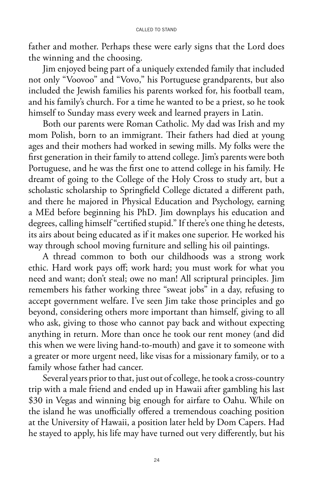father and mother. Perhaps these were early signs that the Lord does the winning and the choosing.

Jim enjoyed being part of a uniquely extended family that included not only "Voovoo" and "Vovo," his Portuguese grandparents, but also included the Jewish families his parents worked for, his football team, and his family's church. For a time he wanted to be a priest, so he took himself to Sunday mass every week and learned prayers in Latin.

Both our parents were Roman Catholic. My dad was Irish and my mom Polish, born to an immigrant. Their fathers had died at young ages and their mothers had worked in sewing mills. My folks were the first generation in their family to attend college. Jim's parents were both Portuguese, and he was the first one to attend college in his family. He dreamt of going to the College of the Holy Cross to study art, but a scholastic scholarship to Springfield College dictated a different path, and there he majored in Physical Education and Psychology, earning a MEd before beginning his PhD. Jim downplays his education and degrees, calling himself "certified stupid." If there's one thing he detests, its airs about being educated as if it makes one superior. He worked his way through school moving furniture and selling his oil paintings.

A thread common to both our childhoods was a strong work ethic. Hard work pays off; work hard; you must work for what you need and want; don't steal; owe no man! All scriptural principles. Jim remembers his father working three "sweat jobs" in a day, refusing to accept government welfare. I've seen Jim take those principles and go beyond, considering others more important than himself, giving to all who ask, giving to those who cannot pay back and without expecting anything in return. More than once he took our rent money (and did this when we were living hand-to-mouth) and gave it to someone with a greater or more urgent need, like visas for a missionary family, or to a family whose father had cancer.

Several years prior to that, just out of college, he took a cross-country trip with a male friend and ended up in Hawaii after gambling his last \$30 in Vegas and winning big enough for airfare to Oahu. While on the island he was unofficially offered a tremendous coaching position at the University of Hawaii, a position later held by Dom Capers. Had he stayed to apply, his life may have turned out very differently, but his

24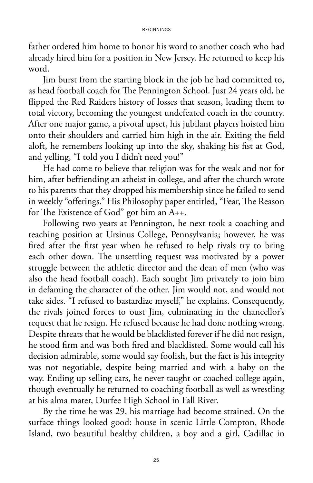#### BEGINNINGS

father ordered him home to honor his word to another coach who had already hired him for a position in New Jersey. He returned to keep his word.

Jim burst from the starting block in the job he had committed to, as head football coach for The Pennington School. Just 24 years old, he flipped the Red Raiders history of losses that season, leading them to total victory, becoming the youngest undefeated coach in the country. After one major game, a pivotal upset, his jubilant players hoisted him onto their shoulders and carried him high in the air. Exiting the field aloft, he remembers looking up into the sky, shaking his fist at God, and yelling, "I told you I didn't need you!"

He had come to believe that religion was for the weak and not for him, after befriending an atheist in college, and after the church wrote to his parents that they dropped his membership since he failed to send in weekly "offerings." His Philosophy paper entitled, "Fear, The Reason for The Existence of God" got him an A++.

Following two years at Pennington, he next took a coaching and teaching position at Ursinus College, Pennsylvania; however, he was fired after the first year when he refused to help rivals try to bring each other down. The unsettling request was motivated by a power struggle between the athletic director and the dean of men (who was also the head football coach). Each sought Jim privately to join him in defaming the character of the other. Jim would not, and would not take sides. "I refused to bastardize myself," he explains. Consequently, the rivals joined forces to oust Jim, culminating in the chancellor's request that he resign. He refused because he had done nothing wrong. Despite threats that he would be blacklisted forever if he did not resign, he stood firm and was both fired and blacklisted. Some would call his decision admirable, some would say foolish, but the fact is his integrity was not negotiable, despite being married and with a baby on the way. Ending up selling cars, he never taught or coached college again, though eventually he returned to coaching football as well as wrestling at his alma mater, Durfee High School in Fall River.

By the time he was 29, his marriage had become strained. On the surface things looked good: house in scenic Little Compton, Rhode Island, two beautiful healthy children, a boy and a girl, Cadillac in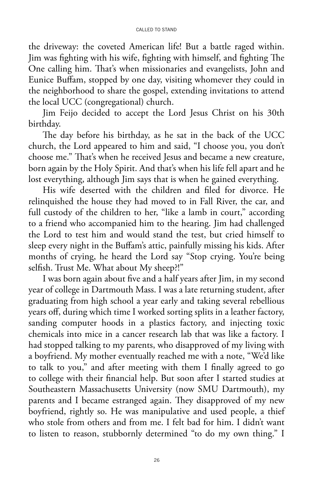the driveway: the coveted American life! But a battle raged within. Jim was fighting with his wife, fighting with himself, and fighting The One calling him. That's when missionaries and evangelists, John and Eunice Buffam, stopped by one day, visiting whomever they could in the neighborhood to share the gospel, extending invitations to attend the local UCC (congregational) church.

Jim Feijo decided to accept the Lord Jesus Christ on his 30th birthday.

The day before his birthday, as he sat in the back of the UCC church, the Lord appeared to him and said, "I choose you, you don't choose me." That's when he received Jesus and became a new creature, born again by the Holy Spirit. And that's when his life fell apart and he lost everything, although Jim says that is when he gained everything.

His wife deserted with the children and filed for divorce. He relinquished the house they had moved to in Fall River, the car, and full custody of the children to her, "like a lamb in court," according to a friend who accompanied him to the hearing. Jim had challenged the Lord to test him and would stand the test, but cried himself to sleep every night in the Buffam's attic, painfully missing his kids. After months of crying, he heard the Lord say "Stop crying. You're being selfish. Trust Me. What about My sheep?!"

I was born again about five and a half years after Jim, in my second year of college in Dartmouth Mass. I was a late returning student, after graduating from high school a year early and taking several rebellious years off, during which time I worked sorting splits in a leather factory, sanding computer hoods in a plastics factory, and injecting toxic chemicals into mice in a cancer research lab that was like a factory. I had stopped talking to my parents, who disapproved of my living with a boyfriend. My mother eventually reached me with a note, "We'd like to talk to you," and after meeting with them I finally agreed to go to college with their financial help. But soon after I started studies at Southeastern Massachusetts University (now SMU Dartmouth), my parents and I became estranged again. They disapproved of my new boyfriend, rightly so. He was manipulative and used people, a thief who stole from others and from me. I felt bad for him. I didn't want to listen to reason, stubbornly determined "to do my own thing." I

26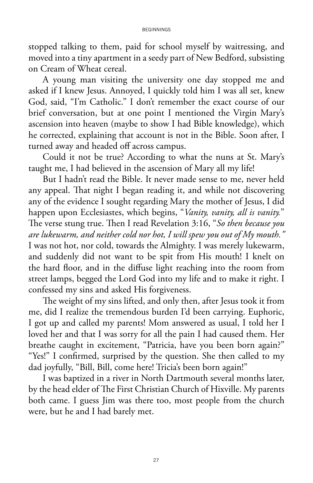#### BEGINNINGS

stopped talking to them, paid for school myself by waitressing, and moved into a tiny apartment in a seedy part of New Bedford, subsisting on Cream of Wheat cereal.

A young man visiting the university one day stopped me and asked if I knew Jesus. Annoyed, I quickly told him I was all set, knew God, said, "I'm Catholic." I don't remember the exact course of our brief conversation, but at one point I mentioned the Virgin Mary's ascension into heaven (maybe to show I had Bible knowledge), which he corrected, explaining that account is not in the Bible. Soon after, I turned away and headed off across campus.

Could it not be true? According to what the nuns at St. Mary's taught me, I had believed in the ascension of Mary all my life!

But I hadn't read the Bible. It never made sense to me, never held any appeal. That night I began reading it, and while not discovering any of the evidence I sought regarding Mary the mother of Jesus, I did happen upon Ecclesiastes, which begins, "*Vanity, vanity, all is vanity.*" The verse stung true. Then I read Revelation 3:16, "*So then because you are lukewarm, and neither cold nor hot, I will spew you out of My mouth."*  I was not hot, nor cold, towards the Almighty. I was merely lukewarm, and suddenly did not want to be spit from His mouth! I knelt on the hard floor, and in the diffuse light reaching into the room from street lamps, begged the Lord God into my life and to make it right. I confessed my sins and asked His forgiveness.

The weight of my sins lifted, and only then, after Jesus took it from me, did I realize the tremendous burden I'd been carrying. Euphoric, I got up and called my parents! Mom answered as usual, I told her I loved her and that I was sorry for all the pain I had caused them. Her breathe caught in excitement, "Patricia, have you been born again?" "Yes!" I confirmed, surprised by the question. She then called to my dad joyfully, "Bill, Bill, come here! Tricia's been born again!"

I was baptized in a river in North Dartmouth several months later, by the head elder of The First Christian Church of Hixville. My parents both came. I guess Jim was there too, most people from the church were, but he and I had barely met.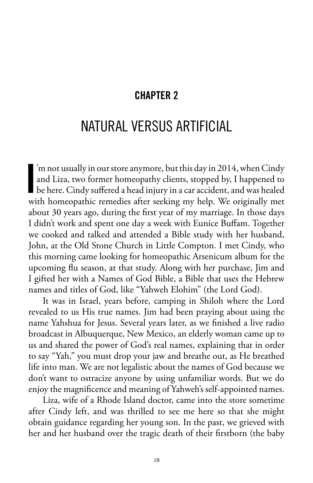### **CHAPTER 2**

# NATURAL VERSUS ARTIFICIAL

**I** 'm not usually in our store anymore, but this day in 2014, when Cindy and Liza, two former homeopathy clients, stopped by, I happened to be here. Cindy suffered a head injury in a car accident, and was healed with homeopathic remedies after seeking my help. We originally met about 30 years ago, during the first year of my marriage. In those days I didn't work and spent one day a week with Eunice Buffam. Together we cooked and talked and attended a Bible study with her husband, John, at the Old Stone Church in Little Compton. I met Cindy, who this morning came looking for homeopathic Arsenicum album for the upcoming flu season, at that study. Along with her purchase, Jim and I gifted her with a Names of God Bible, a Bible that uses the Hebrew names and titles of God, like "Yahweh Elohim" (the Lord God).

It was in Israel, years before, camping in Shiloh where the Lord revealed to us His true names. Jim had been praying about using the name Yahshua for Jesus. Several years later, as we finished a live radio broadcast in Albuquerque, New Mexico, an elderly woman came up to us and shared the power of God's real names, explaining that in order to say "Yah," you must drop your jaw and breathe out, as He breathed life into man. We are not legalistic about the names of God because we don't want to ostracize anyone by using unfamiliar words. But we do enjoy the magnificence and meaning of Yahweh's self-appointed names.

Liza, wife of a Rhode Island doctor, came into the store sometime after Cindy left, and was thrilled to see me here so that she might obtain guidance regarding her young son. In the past, we grieved with her and her husband over the tragic death of their firstborn (the baby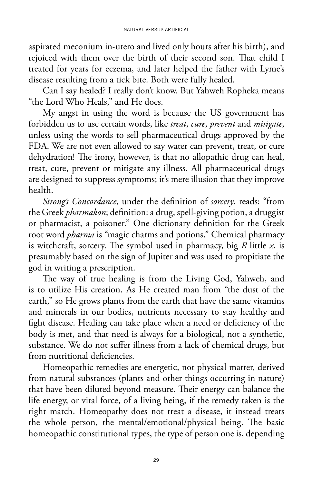aspirated meconium in-utero and lived only hours after his birth), and rejoiced with them over the birth of their second son. That child I treated for years for eczema, and later helped the father with Lyme's disease resulting from a tick bite. Both were fully healed.

Can I say healed? I really don't know. But Yahweh Ropheka means "the Lord Who Heals," and He does.

My angst in using the word is because the US government has forbidden us to use certain words, like *treat*, *cure*, *prevent* and *mitigate*, unless using the words to sell pharmaceutical drugs approved by the FDA. We are not even allowed to say water can prevent, treat, or cure dehydration! The irony, however, is that no allopathic drug can heal, treat, cure, prevent or mitigate any illness. All pharmaceutical drugs are designed to suppress symptoms; it's mere illusion that they improve health.

*Strong's Concordance*, under the definition of *sorcery*, reads: "from the Greek *pharmakon*; definition: a drug, spell-giving potion, a druggist or pharmacist, a poisoner." One dictionary definition for the Greek root word *pharma* is "magic charms and potions." Chemical pharmacy is witchcraft, sorcery. The symbol used in pharmacy, big *R* little *x*, is presumably based on the sign of Jupiter and was used to propitiate the god in writing a prescription.

The way of true healing is from the Living God, Yahweh, and is to utilize His creation. As He created man from "the dust of the earth," so He grows plants from the earth that have the same vitamins and minerals in our bodies, nutrients necessary to stay healthy and fight disease. Healing can take place when a need or deficiency of the body is met, and that need is always for a biological, not a synthetic, substance. We do not suffer illness from a lack of chemical drugs, but from nutritional deficiencies.

Homeopathic remedies are energetic, not physical matter, derived from natural substances (plants and other things occurring in nature) that have been diluted beyond measure. Their energy can balance the life energy, or vital force, of a living being, if the remedy taken is the right match. Homeopathy does not treat a disease, it instead treats the whole person, the mental/emotional/physical being. The basic homeopathic constitutional types, the type of person one is, depending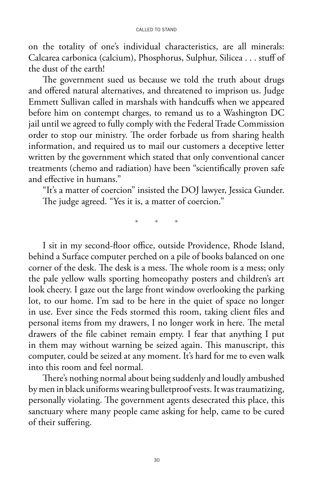on the totality of one's individual characteristics, are all minerals: Calcarea carbonica (calcium), Phosphorus, Sulphur, Silicea . . . stuff of the dust of the earth!

The government sued us because we told the truth about drugs and offered natural alternatives, and threatened to imprison us. Judge Emmett Sullivan called in marshals with handcuffs when we appeared before him on contempt charges, to remand us to a Washington DC jail until we agreed to fully comply with the Federal Trade Commission order to stop our ministry. The order forbade us from sharing health information, and required us to mail our customers a deceptive letter written by the government which stated that only conventional cancer treatments (chemo and radiation) have been "scientifically proven safe and effective in humans."

"It's a matter of coercion" insisted the DOJ lawyer, Jessica Gunder. The judge agreed. "Yes it is, a matter of coercion."

\* \* \*

I sit in my second-floor office, outside Providence, Rhode Island, behind a Surface computer perched on a pile of books balanced on one corner of the desk. The desk is a mess. The whole room is a mess; only the pale yellow walls sporting homeopathy posters and children's art look cheery. I gaze out the large front window overlooking the parking lot, to our home. I'm sad to be here in the quiet of space no longer in use. Ever since the Feds stormed this room, taking client files and personal items from my drawers, I no longer work in here. The metal drawers of the file cabinet remain empty. I fear that anything I put in them may without warning be seized again. This manuscript, this computer, could be seized at any moment. It's hard for me to even walk into this room and feel normal.

There's nothing normal about being suddenly and loudly ambushed by men in black uniforms wearing bulletproof vests. It was traumatizing, personally violating. The government agents desecrated this place, this sanctuary where many people came asking for help, came to be cured of their suffering.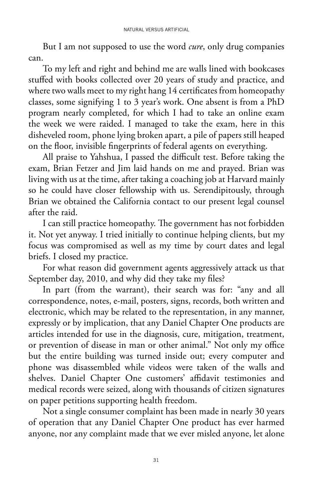But I am not supposed to use the word *cure*, only drug companies can.

To my left and right and behind me are walls lined with bookcases stuffed with books collected over 20 years of study and practice, and where two walls meet to my right hang 14 certificates from homeopathy classes, some signifying 1 to 3 year's work. One absent is from a PhD program nearly completed, for which I had to take an online exam the week we were raided. I managed to take the exam, here in this disheveled room, phone lying broken apart, a pile of papers still heaped on the floor, invisible fingerprints of federal agents on everything.

All praise to Yahshua, I passed the difficult test. Before taking the exam, Brian Fetzer and Jim laid hands on me and prayed. Brian was living with us at the time, after taking a coaching job at Harvard mainly so he could have closer fellowship with us. Serendipitously, through Brian we obtained the California contact to our present legal counsel after the raid.

I can still practice homeopathy. The government has not forbidden it. Not yet anyway. I tried initially to continue helping clients, but my focus was compromised as well as my time by court dates and legal briefs. I closed my practice.

For what reason did government agents aggressively attack us that September day, 2010, and why did they take my files?

In part (from the warrant), their search was for: "any and all correspondence, notes, e-mail, posters, signs, records, both written and electronic, which may be related to the representation, in any manner, expressly or by implication, that any Daniel Chapter One products are articles intended for use in the diagnosis, cure, mitigation, treatment, or prevention of disease in man or other animal." Not only my office but the entire building was turned inside out; every computer and phone was disassembled while videos were taken of the walls and shelves. Daniel Chapter One customers' affidavit testimonies and medical records were seized, along with thousands of citizen signatures on paper petitions supporting health freedom.

Not a single consumer complaint has been made in nearly 30 years of operation that any Daniel Chapter One product has ever harmed anyone, nor any complaint made that we ever misled anyone, let alone

31